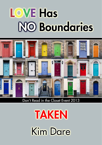# **LOVE Has NO Boundaries**



Don't Read in the Closet Event 2013

**TAKEN Kim Dare**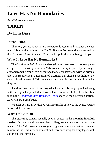# **Love Has No Boundaries**

*An M/M Romance series*

# **TAKEN By Kim Dare**

## **Introduction**

The story you are about to read celebrates love, sex and romance between men. It is a product of the *Love Has No Boundaries* promotion sponsored by the *Goodreads M/M Romance Group* and is published as a free gift to you.

## **What Is Love Has No Boundaries?**

The *Goodreads M/M Romance Group* invited members to choose a photo and pen a letter asking for a short M/M romance story inspired by the image; authors from the group were encouraged to select a letter and write an original tale. The result was an outpouring of creativity that shone a spotlight on the special bond between M/M romance writers and the people who love what they do.

A written description of the image that inspired this story is provided along with the original request letter. If you'd like to view the photo, please feel free to join the [Goodreads M/M Romance Group](http://www.goodreads.com/group/show/20149-m-m-romance) and visit the discussion section: *Love Has No Boundaries*.

Whether you are an avid M/M romance reader or new to the genre, you are in for a delicious treat.

### **Words of Caution**

This story may contain sexually explicit content and is **intended for adult readers.** It may contain content that is disagreeable or distressing to some readers. The *M/M Romance Group* strongly recommends that each reader review the General Information section before each story for story tags as well as for content warnings.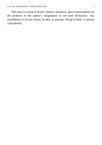This story is a work of fiction. Names, characters, places and incidents are the products of the author's imagination or are used fictitiously. Any resemblance to actual events, locales, or persons, living or dead, is entirely coincidental.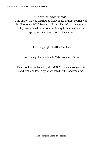All rights reserved worldwide.

This eBook may be distributed freely in its entirety courtesy of the *Goodreads M/M Romance Group*. This eBook may not be sold, manipulated or reproduced in any format without the express written permission of the author.

Taken, Copyright © 2013 Kim Dare

Cover Design by Goodreads M/M Romance Group

This ebook is published by the *M/M Romance Group* and is not directly endorsed by or affiliated with Goodreads Inc.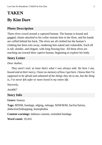# **TAKEN By Kim Dare**

# **Photo Description**

Three elves crowd around a captured human. The human is bound and gagged; chains attached to his collar restrain him to the floor, and his hands are cuffed behind his back. The elves are all clothed but the human's clothing has been torn away, rendering him naked and vulnerable. Each elf is tall, slender, and elegant, with long flowing hair. All three elves are reaching out toward their captive human, beginning to explore his body.

## **Story Letter**

#### *Dear Author,*

*They aren't real; at least that's what I was always told. Yet here I am, bound and at their mercy. I have no memory of how I got here. I know that I'm supposed to be afraid and ashamed of the things they do to me, but the thing is, I've never felt safer or more loved in my entire life.*

*Sincerely,*

*Jen4067*

#### **Story Info**

**Genre:** fantasy

**Tags:** BDSM, bondage, edging, ménage, M/M/M/M, fae/fey/fairies, abduction/kidnapping, homophobia

**Content warnings:** dubious consent, extended bondage

**Word count:** 10,416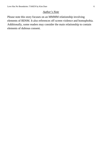#### *Author's Note*

Please note this story focuses on an MMMM relationship involving elements of BDSM. It also references off screen violence and homophobia. Additionally, some readers may consider the main relationship to contain elements of dubious consent.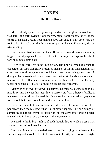# **TAKEN By Kim Dare**

Maxen slowly opened his eyes and peered up into the gloom above him. It was dark—too dark. Even if it was the very middle of the night, the fire in the centre of his clan's round house should have cast enough light up toward the roof to let him make out the thick oak supporting beams. Frowning, Maxen tried to sit up.

He'd barely lifted his back an inch off the hard ground before something tugged painfully against his neck. Cold metal chains pressed against his chest, forcing him to slump back.

He tried to force his mind into action. His brain seemed reluctant to cooperate, but facts sluggishly presented themselvesfor his consideration. His chest was bare, although he was sure it hadn't been when he'd gone to sleep. A draught blew across hisskin, and he realised that most of his body was equally uncovered. He shifted his position as far as the chains allowed, but the only fabric he sensed lay in tatters around his ankles and forearms.

Maxen tried to swallow down his nerves, but there was something in his mouth, resting between his teeth like a narrow bit from a horse's bridle. It made swallowing almost impossible. He pushed his tongue against it, trying to force it out, but it was somehow held securely in place.

He should have felt panicked—some little part of his mind that was less ponderous than the rest knew that. But it didn't happen. The beginnings of something akin to fear trembled inside him, but the wave of terror he expected to swell within him at every moment—that never came.

He tried to think, but it felt as if each thought had to wade across a fast flowing river before it reached him.

He stared intently into the darkness above him, trying to understand his surroundings—the roof looked to be made out of earth, or… no. As his sight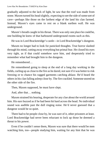gradually adjusted to the lack of light, he saw that the roof was made from stone. Maxen turned his head slightly, expecting to see the side of some sort of cave—perhaps like those on the farthest edge of the land his clan farmed. Instead, Maxen's eyes came to rest on a blank earthen wall. He was underground.

Maxen's breath caught in his throat. There was only one place he could be, one building he knew of that harboured underground rooms such as this.

He was in Lord Brackenridge's castle—in Lord Brackenridge's dungeon.

Maxen no longer had to look for panicked thoughts. True horror slashed through his mind, cutting away everything but primal fear. He closed his eyes very tight, as if that could somehow save him, and desperately tried to remember what had brought him to the dungeon.

He remembered…

He remembered going to sleep at the end of a long day working in the fields, curling up as close to the fire as he dared, notsure if it was better to risk freezing or to chance his ragged garments catching ablaze. He'd heard the others in his clan falling asleep close by. The fire crackled. Someone snored on the other side of the fire.

Then, Maxen supposed, he must have slept.

And, after that… nothing.

Maxen strained his hearing, desperate for any clue about the world around him. His ears buzzed as if he had been hit hard across the head. No individual sound was audible past the dull ringing noise. He'd never guessed that a dungeon would be so quiet.

There had to be people close by, he was sure of it, other prisoners at least. Lord Brackenridge had never been reluctant to lock up those he deemed a threat to his power.

Even if he couldn't sense them, Maxen was sure that there would be men watching him, too—people studying him, waiting for any hint that he was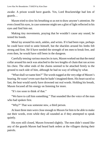awake. A prison would have guards. Yes, Lord Brackenridge had lots of guards…

Maxen tried to slow his breathing so as not to draw anyone's attention. He even closed his eyes, in case someone might see a glint of light reflected in his eyes and find him out.

Making tiny movements, praying that he wouldn't cause any sound, he tested his bonds.

Metal lay around his neck, ankles, and wrists. If it had been rope, perhaps he could have tried to untie himself, but the shackles around his limbs felt strong and firm. He'd have needed the strength of ten men to break free, and even then, he would have still been in the dungeon.

Carefully tensing various musclesin turn, Maxen worked out that the metal collar around his neck was attached to the two lengths of chain that ran across his chest. The other ends of the chains seemed to be attached firmly to the ground to each side of him, although he had no way of telling by what.

"What shall we name him?" The words tugged at the very edge of Maxen's hearing. He wasn't even sure that he hadn't imagined them. His heart raced so fast, the beat would surely have drowned out real words. Holding his breath, Maxen focused all his energy on listening for more.

"It's too soon to think of that."

"We have to call him something." That sounded like the voice of the man who had spoken first.

"Why?" That was someone new, a third person.

At least three men were close enough to Maxen for him to be able to make out their words, even while they all sounded as if they attempted to speak quietly.

His eyes still closed, Maxen frowned slightly. The men didn't sound like any of the guards Maxen had heard bark orders at the villagers during their patrols.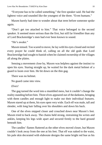"Everyone has to be called something," the first speaker said. He had the lightest voice and sounded like the youngest of the three. "Even humans."

Maxen barely had time to wonder about that term before someone spoke again.

"Don't get too attached to him." That voice belonged to the second speaker. It seemed more serious than the first, but still far friendlier than any of Lord Brackenridge's men had ever been known to sound.

"He's awake."

Maxen tensed. Too scared to move, he lay with his eyes closed and recited every prayer he could think of, calling on all the old gods that Lord Brackenridge had sought to banish when he claimed ownership of the villages all along the plains.

Sensing a movement close by, Maxen was helpless against the instinct to open his eyes. Staring straight up, he waited for the dark metal helmet of a guard to loom over him. He bit down on the thin gag.

There was no helmet.

No guard came into view.

#### *Elves!*

The gag turned the word into a mumbled mess, but it couldn't change the reality standing before him. Three elves appeared out of the darkness, bringing with them candles and enough light to make out their individual features. Maxen stared up at them, his eyes open very wide. Each elf was male, tall and slender, with long hair falling over his shoulders and down his back.

One of the elves stepped closer and crouched down near Maxen's feet. Maxen tried to back away. The chains held strong, restraining his wrists and ankles, keeping his legs wide apart and secured firmly to the hard ground beneath him.

The candles' flames fluttered as the other elves moved closer, but Maxen couldn't look away from the one at his feet. That elf was naked to the waist, his pale skin decorated with elaborate designs the same bright red hue as his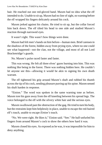hair. He reached out one red-gloved hand. Maxen had no idea what the elf intended to do. Unable to sit up, Maxen had no line of sight, no warning before the elf wrapped his fingers delicately around his cock.

Maxen jerked against his chains. He tried to sit up, but the collar forced him back down. The elf tilted his head to one side and studied Maxen's reaction through narrowed eyes.

It wasn't right. This wasn't how things were done.

Maxen had felt men's hands on him before—human men. Brief caressesin the shadows of the forest, hidden away from prying eyes, where no one could see what happened—not the clan, not the village, and most of all not Lord Brackenridge's guards.

No. Maxen's pulse raced faster and faster.

This was wrong. He felt all three elves' gazes burning into him. This was nothing like being in the forest. There was nothing hidden here. He couldn't let anyone see this—allowing it would be akin to signing his own death warrant.

The elf tightened his grip around Maxen's shaft and rubbed his thumb across the tip of his cock, sending pleasure purring up his spine. Maxen sensed his shaft harden in response.

"Einion." The word was spoken in the same warning tone as before. Maxen tore his gaze away from the elf kneeling between his spread legs. The voice belonged to the elf with the silvery white hair and the serious eyes.

Maxen swallowed past the obstruction of the gag. He tried to turn his body, but the restraints kept him helplessly in place, unable to escape the red-haired elf's touch, unable to escape *Einion's* touch.

"No. We were right. He likes it," Einion said. "See." He half-unfurled his fingers from around Maxen's cock to show the others how hard it was.

Maxen closed his eyes. As exposed as he was, it was impossible for him to deny anything.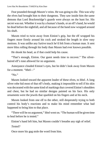Fear pounded through Maxen's veins. He was going to die. This was why the elves had brought him to their dungeons. They saw inside him the same demons that Lord Brackenridge's guards were always on the hunt for. His secret was out. Whether it was by a human's hands, or an elf's hand, he would be dead before the nightfall, and all because of the hand now wrapped around his shaft.

Maxen tried to twist away from Einion's grip, but the elf wrapped his fingers more firmly around his cock and stroked the length in slow easy motions. It was unlike any furtive touch he'd felt from a human man. It sent more bliss rolling through his body than Maxen had ever known possible.

He shook his head, as if that could help his cause.

"That's enough, Einion. Our guest needs time to recover." The silverhaired elf's tone allowed for no argument.

Annoyance clouded Einion's eyes, but he didn't look away from Maxen for a moment. "Ithel—"

"No."

Maxen looked toward the apparent leader of these elves, to Ithel. A long silver robe hid most of that elf's body, making it impossible to tell if his skin was decorated with the same kind of markings that covered Einion's shoulders and chest, but he had no similar designs painted on his face. His only ornaments were the jewels that sparkled on his fingers and at his neck.

Maxen looked from one elf to the other, still desperately trying to both control his body's reactions and to make his mind remember what had happened to bring him to that place.

"There will be no argument," Ithel went on. "The human will be given time to heal before he is tested."

Einion's hand left him, but Maxen couldn't breathe any sigh of relief.

*Tested?*

Once more his gag stole the word from him.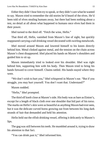Either they didn't hear him try to speak, or they didn't care what hewanted to say. Maxen tried to remember the old stories he'd heard of the elves. He'd been told of elves stealing humans away, but there had been nothing about a test, no detail at all about what happened to humans once elves had them in their power.

Ithel turned to the third elf. "Fetch the wine, Hefin."

That third elf, Hefin, vanished from Maxen's line of sight, but quickly reappeared carrying a tall drinking vessel decorated with swirling metalwork.

Ithel moved around Maxen and lowered himself to his knees directly behind him. Metal clinked against metal, and the tension on the chain across Maxen's chest disappeared. Ithel placed his hands on Maxen's shoulders and guided him to sit up.

Maxen immediately tried to looked over his shoulder. Ithel was right behind him, supporting him with his body. Then Maxen tried to bring his hands forward to cover himself. Chains rattled. His hands stayed where they were.

"We don't wish to hurt you," Ithel whispered in Maxen's ear. "But if you struggle, you may hurt yourself. You don't want that. Understand?"

Maxen nodded.

"Hefin," Ithel prompted.

The third elf knelt close at Maxen's side. His body was as bare as Einion's, except for a length of black cloth over one shoulder that hid part of his torso. The marks on Hefin's skin were as beautiful as anything Maxen had ever seen, but it was the delicate curved horns growing out from between his long dark strands of hair that demanded and held his attention.

Hefin held out the elfish drinking vessel, offering it delicately to Maxen's lips.

The gag was still between his teeth. He mumbled around it, trying to draw his attention to that fact.

"You can drink past it," Ithel informed him.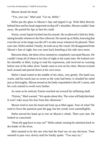Maxen shook his head.

"Yes, you can," Ithel said. "Go on, Hefin."

Hefin put the glass to Maxen's lips and tipped it up. With Ithel directly behind him and his head supported on that elf's shoulder, Maxen couldn't lean away. He parted his lips as best he could.

Warm, sweet liquid trickled into his mouth. He swallowed it little by little, taking breaths whenever the flow allowed. He stared up at Hefin, knowing that even the air in his lungs wasthe elf's to take away whenever he pleased. Their eyes met. Hefin smiled. Finally, he took away the vessel. He disappeared from Maxen's line of sight, but was soon back kneeling at his side once more.

Between them, the three elves seemed to completely surround Maxen. He couldn't keep all of them in his line of sight at the same time. He looked over his shoulder at Ithel, trying to read his expression, and received no warning before one of the other elves' hands came to rest on his chest. Maxen twisted back around and peered down at his own torso.

Hefin's hand rested in the middle of his chest, very gently. His hand was warm, and his touch just as sweet as the wine had been; it clouded his mind just asthoroughly. Maxen tensed as his body responded to the elf's caress, and his cock started to swell even further.

As soon as he noticed, Einion reached out toward his stiffening shaft.

"Einion," Ithel warned. "We spoke about this. The winewill help himheal. It won't take away his fear from this afternoon."

Maxen tried to turn his head and look up at Ithel again. Fear of what? He tried to force the question past the gag, but the words were unintelligible.

Hefin moved his hand up to rest on Maxen's cheek. Their eyes met. He looked so concerned.

"Does the gag have to stay on?" Hefin asked, turning his attention back to the leader of the elves.

Ithel seemed to be the one who had the final say on any decision. Time seemed to pass very slowly until he finally spoke. "You may try."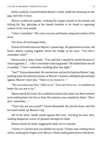Hefin carefully reached behind Maxen's head, undid the fastening on the gag, and took it away.

Maxen swallowed rapidly, working his tongue around in his mouth and licking his lips, glorying in the simple freedom to be found in regaining control of his own mouth.

"I don't remember." His voice was raw and harsh compared to those of the elves.

The elves all exchanged looks.

Einion still knelt between Maxen's spread legs. He glared down at him, red brows almost coming together above the bridge of his nose. "You don't remember what?"

Maxen took a shaky breath. "You said that I should be afraid because of what happened. I… I don't remember what happened." He looked from one elf to another. "I don't remember anything after last night."

"See?" Einion demanded. He reached out and put his hand on Maxen'sleg, pushing aside the tattered remains of Maxen's trousers, sliding his gloved hand against Maxen's bare skin. "There is no reason to—"

"We can sense your fear," Ithel cut in. "You can't lie to us—it would be far better for you not to try."

Maxen shook his head. He scrabbled around in his mind, but there seemed to be nothing there for him to find. His memory was completely blank. "But I don't remember…"

"Then why are you scared?" Einion demanded. He moved closer, and slid his hand further up Maxen's leg.

All of the elves' hands rested against him now, warming his bare skin, sending dangerous waves of pleasure through his body.

Maxen shook his head, begging his body not to respond.

"I know it's not because you dislike our touch," Einion said, smiling down at him, stroking his fingers over Maxen's flesh, making him shiver with desire.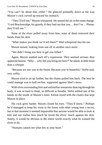"You can't lie about that, either." He glanced pointedly down at the way Maxen's cock curved up toward his stomach.

"They'll kill me," Maxen whispered. He sensed the air in the roomchange. "Lord Brackenridge, his guards, if they find out that you… that I've… Please, they'll kill me."

None of the elves pulled away from him; none of them removed their hands from his skin.

"What makes you think we'd tell them?" Ithel whispered into his ear.

Maxen tensed, looking from one elf to another once more.

"We didn't bring you here to get you killed."

Again, Maxen studied each elf's expression. They seemed serious; they appeared honest. "Why… why did you bring me here?" he asked, in little more than a whisper.

"Because we saw you in the forest. Because you're beautiful," Hefin said, very softly.

Maxen tried to sit up further, but the chains pulled him back. The best he could manage was to half-recline, supported against Ithel's torso.

With elves surrounding him and unfamiliar sensations dancing through his body, it was so hard to think, so difficult to breathe. Hefin settled one of his hands on the inside of Maxen's knee. Einion toyed with the chains that kept Maxen in place.

His cock grew harder. Maxen closed his eyes. "They'll know." Perhaps he'd managed to keep his visits to the forest with other young men a secret, but in that moment it seemed impossible that anyone would be able to look at him and not realise how much he loved the elves' touch against his skin. Surely, it would be obvious to the entire world exactly what he wanted the elves to do.

"Humans cannot see what lies in your heart."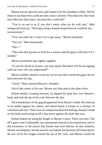Maxen forced open his eyes and looked over his shoulder at Ithel. Did he mean to say that elves could see into a man's desires? Was that why they took him? Because they knew, because they could tell?

"You're no use to us if you don't enjoy what we do with you," Ithel whispered in his ear. "Having to keep a human bound forever would be too… inconvenient."

"You can untie me. I won't try to get away," Maxen promised.

"Not yet," Ithel announced.

"But—"

"The rules that govern us exist for a reason, and the gag is still here if it's needed."

Maxen pressed his lips tightly together.

"If you are afraid or in pain, you may speak. But there will be no arguing with our laws. Do you understand?"

Maxen nodded, afraid to even say yes in case that caused the gag to be set back between his lips.

"Good." Ithel caressed Maxen's shoulder.

Out of the corner of his eye, Maxen saw him nod to the other elves.

Einion smiled. Leaning forward, he dipped his head low over Maxen's body and took the tip of his cock between his lips.

All remembrance of the gag disappeared from Maxen's mind. He cried out as he pulled against his chains, and stared down at Einion in a mixture of confusion and awe. There was no comparison between feeling a human's hand on his body and having an elf's lips move against his shaft that way.

Einion looked up along the length of Maxen's torso. Their eyes met. The elf's gaze wasn't unfriendly, but amusement danced in his expression, and so did awareness of the power that Einion had over Maxen. In that moment, Maxen was helpless, not because he was bound, but because all Einion had to do was circle his tongue around the tip of his cock, and Maxen would be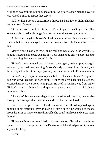willing to do anything Einion asked of him. No price was too high to pay, if it convinced Einion to repeat that caress.

Still holding Maxen's gaze, Einion dipped his head lower, sliding his lips further down Maxen's shaft.

Maxen's breath caught in his throat. He whimpered, needing air, but all at once unable to make his lungs function without the elves' permission.

A firm touch against Maxen's cheek made him tear his gaze away from Einion, but he only managed to take one breath before Ithel's mouth covered his.

Maxen froze. Unable to react, all he could do was glory in the way Ithel's tongue traced the line between his lips, both demanding entry and refusing to take anything that wasn't offered freely.

Einion's mouth moved over Maxen's cock again, taking up a lethargic, teasing rhythm. Without warning, Maxen's body took over fromhismind, and he attempted to thrust his hips, pushing his cock deeper into Einion's mouth.

Einion's only response was to place both his hands on Maxen's hips and pin him down against the bare earth. Neither the elf's pace nor his actions changed in any way. Maxen whimpered. He tried to squirm away from either Einion's mouth or Ithel's kiss, desperate to gain some space to think, but it was impossible.

The elves' bodies were elegant and long-limbed, but they were also strong—far stronger than any humans Maxen had encountered.

Each touch inspired both lust and fear within him. He whimpered again, tugging at his restraints, even though he wasn't sure if he wanted to escape from the elves or merely to free himself so he could reach out and caress them in return.

Einion and Ithel's actions filled all Maxen's senses. He had no thoughts to spare. He cried his surprise into Ithel's kiss as he felt a third pair of lips move against his body.

Hefin.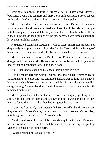Starting at his neck, the third elf traced a trail of kisses down Maxen's body. Inch by inch, he set more and more nerve endings alight. Maxen gasped for breath as Hefin's path took him across one of his nipples.

Maxen arched his back, instinctively trying to keep Hefin's kisses there. For a moment, the elf seemed to hesitate. Then, he circled Maxen's nipple with his tongue. He sucked delicately around the sensitive little bit of flesh. Added to the sensations provided by the other elves, it was almost enough to let Maxen reach his climax.

He squirmed against his restraints, trying to thrust into Einion's mouth, and desperately attempting to match Ithel kiss for kiss. He was right on the edge of his pleasure. Expectation flooded his body. His muscles tensed and—

Maxen whimpered into Ithel's kiss as Einion's mouth suddenly disappeared from his world. He tried to turn away from Ithel, desperate to know what had happened, what had gone wrong.

No—Ithel kept his hand on his cheek, holding him in place.

Hefin's mouth left him within seconds, making Maxen whimper again. Still, Ithel didn't release him. He continued the kiss as if nothing had changed. It was only when Maxen gave in and accepted the kiss that Ithel slowly pulled away, leaving Maxen abandoned and alone—even while their hands still remained on his skin.

Maxen peered up at them. The elves were exchanging speaking looks above him. Not one of them glanced down at him. It was almost as if they were so focused on each other they had forgotten he was there.

A tiny nod from Ithel, and Einion smiled. He moved his hands from where they'd rested on Maxen's hips, sliding them both down between Maxen's legs until his gloved fingers caressed Maxen's balls.

Another nod from Ithel, and Hefin moved away from them all. There was no time for Maxen to worry about that, because Ithel was moving too, guiding Maxen to lie back, flat on the earth.

"What's happening, what are you—?"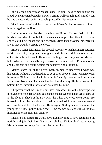Ithel placed a fingertip on Maxen's lips. He didn't have to mention the gag aloud. Maxen remembered his earlier warning well enough. Ithel smiled when he saw the way Maxen instinctively pressed his lips together.

Metal links rattled and the chains across Maxen's chest once more pinned him flat against the floor.

Hefin returned and handed something to Einion. Maxen tried to lift his head and see what it was, but the chains made it impossible. Unable to remain entirely still, he clenched and unclenched his fists, trying to expel his energy in a way that wouldn't offend the elves.

Einion's hands left Maxen for several seconds. When his fingers returned to Maxen's skin, the gloves were gone, and his touch didn't move against either his balls or his cock. He rubbed his fingertips firmly against Maxen's hole. Whatever Hefin had brought across the room, it slicked Einion's touch, and his fingers slid easily against the sensitive ring of muscle.

Maxen stared up at the elves. Each seemed to understand what was happening without a word needing to be spoken between them. Maxen closed his eyes as Einion circled his hole with his fingertips, teasing and testing the flesh there. No human had ever touched him that way. He bit down on his bottom lip as unfamiliar sensations assaulted his mind.

The pressure behind Einion's caresses increased. One of his fingertips slid into Maxen's hole. He twisted against the chains. Opening his eyes to stare up at the elves in shock as he saw what the other two elves were doing. He blinked rapidly, clearing his vision, making sure he didn't miss another second of it. As he watched, Ithel kissed Hefin again. Sliding his arms around the youngest elf, Ithel pulled him closer. Time seemed to stand still as the kiss morphed into another, then another.

Maxen's lips parted. He would have given anything to have been able to sit upright and join their kiss. His chains clinked. Einion chuckled, drawing Maxen's attention away from the other elves' kiss.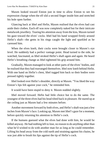Maxen looked toward Einion just in time to allow Einion to see his expression change when the elf slid a second finger inside him and stretched his hole open further.

Glancing back at Ithel and Hefin, Maxen realised that the elves had cast aside their clothes. Each elf was now completely naked but for their intricate metalwork jewellery. Tearing his attention away from the kiss, Maxen turned his gaze toward the elves' cocks. Ithel had his hand wrapped firmly around Hefin's shaft—the gems in his rings caught the light and sparkled as he caressed him.

When the elves knelt, their cocks were brought closer to Maxen's eye level. He suddenly had a perfect vantage point. Head turned to the side, he watched, fascinated, as Ithel stroked Hefin's shaft again and again. He heard Hefin's breathing change as Ithel tightened his grip around him.

Gradually, Maxen managed to look at other parts of the elves' bodies, and he realised that they had rearranged themselves. Ithel now knelt behind Hefin. With one hand on Hefin's chest, Ithel tugged him back so their bodies were pressed tightly together.

Ithel looked over Hefin's shoulder, directly at Maxen. "You liked the way Einion's lips felt against your cock," he reminded him.

It would have been stupid to deny it. Maxen nodded slightly.

Ithel moved forward. Hefin had little choice but to do the same. The youngest of the three elves had his head tilted back in pleasure. He stared up at the ceiling just as Maxen had a few minutes before.

Another movement forward by both elves, and Hefin's shaft was just a few inches from Maxen's face. Looking up, Maxen met Ithel's gaze for a moment, before quickly returning his attention to Hefin's cock.

If the humans guessed what the elves had done with him, he would be killed anyway. He had nothing left to lose, no reason to do anything other than what he'd wished to do with another man for as long as he could remember. Lifting his head away from the cold earth and straining against his chains, he was just able to brush his lips against the tip of Hefin's cock.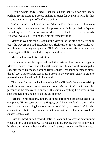Hefin's whole body jerked. Ithel smiled and shuffled forward again, pushing Hefin closer to Maxen, making it easier for Maxen to wrap his lips around the topmost part of Hefin's erection.

Hefin seemed to melt back against Ithel, as if all his strength had to leave him in order to make more room for pleasure in his body. Ithel whispered something in Hefin's ear, too low for Maxen to be able to make out the words. Whatever was said, Hefin nodded his agreement with it.

Maxen moved his tongue against the very tip of the elf's cock, trying to copy the way Einion had kissed his own flesh earlier. It was impossible. His mouth was so clumsy compared to Einion's. His tongue refused to curl and flutter against Hefin's cock the way it should have.

Maxen whimpered his frustration.

Hefin murmured his approval, and the taste of him grew stronger in Maxen's mouth—sweet and salty at the same time. Maxen swallowed rapidly, eager for more. He moaned around Hefin's shaft. That sound seemed to please the elf, too. There was no reason for Maxen to try to remain silent in order to please the man he held within his mouth.

There was freedom in that knowledge. When Einion's fingers moved deep inside him and found some magical point, Maxen didn't try to keep his pleasure at the discovery to himself. Bliss unlike anything he'd ever known shot through him, and he let all the elves know.

Perhaps, in his pleasure, he'd made some sort of noise that sounded like a complaint. Einion took away his fingers, but Maxen couldn't protest—that would have meant taking his mouth away from Hefin, and he couldn't lose his connection to both elves in such quick succession. He knew he wouldn't survive such a loss.

With his head turned toward Hefin, Maxen had no way of determining what Einion was doing now. He rocked his hips, praying that his skin would brush against the elf's body and he would at least know where Einion was.

*Yes!*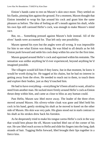Einion's hands came to rest on Maxen's skin once more. They settled on hisflanks, pinning him against the ground. For a moment, Maxen thought that Einion intended to wrap his lips around his cock and grant him the same pleasure as before. The idea of feeling an elf's mouth against his shaft, while his own lips still caressed Hefin's cock, was enough to make Maxen's mind race.

But, no… Something pressed against Maxen's hole instead. All of the elves' hands were accounted for. That left only one possibility.

Maxen opened his eyes but the angles were all wrong. It was impossible for him to see what Einion was doing. He was blind to all details as he felt Einion push forward and settle his cock deep within his arse for the first time.

Maxen gasped around Hefin's cock and squirmed within hisrestraints. The sensation was unlike anything he'd ever experienced, beyond anything he'd imagined possible.

The villagers would kill him if they knew, but in that moment, he knew it would be worth dying for. He tugged at his chains, but he had no interest in getting away from the elves. He needed to reach out to them, to touch them and explore their bodies, just as they'd touched him.

He had to have everything—everything he'd been afraid to want, afraid to need from another man. He sucked more firmly around Hefin's cock as Einion thrust deep within him, and came as close to bliss as any human could.

Past Hefin, Maxen saw Ithel move away. The leader of the three elves moved around Maxen. His silvery-white cloak was gone and Ithel held his cock in his hand, gently stroking his shaft as he moved to kneel on the other side of Maxen. His skin was very pale. His glans stood out in stark contrast to his shaft as his strokes drew back his foreskin.

As he desperately tried to make his tongue caress Hefin's cock in the way that would best please the elf, Maxen watched Ithel out of the corner of his eye. He saw Ithel reach across to Hefin and slide his fingers into the long, dark strands of hair. Tugging Hefin forward, Ithel brought their lips together in a fierce kiss.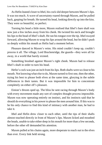As Hefin leaned closer to Ithel, his cock slid deeper between Maxen's lips. It was too much. A wave of uncertainty roared through Maxen, and he pulled back, gasping for breath. He turned his head, looking directly up into the kiss. They were so beautiful, so perfect.

Turning his head a little more, Maxen realised that Ithel's bare shaft was now just a few inches away from his cheek. He twisted his neck and brought his lips to the head of Ithel's shaft. He ran his tongue over the tip. Ithelswayed forward, allowing Maxen to wrap his lips around the head, but he didn't push so deeply within his mouth as Hefin had a moment before.

Pleasure danced in Maxen's veins. His mind couldn't keep up, couldn't process it all. The village, Lord Brackenridge, the guards—they were all far away, in a world that barely existed.

Something brushed against Maxen's right cheek. Maxen had to release Ithel's shaft in order to turn his head.

Hefin's cock was just an inch from his lips. Both shafts were so close to his mouth. Not knowing what else to do, Maxen turned to first one, then the other, trying his best to please both elves at the same time, glorying in the subtle differences in their tastes. But it was impossible for him to concentrate completely on either elf's pleasure.

Einion's thrusts sped up. The bliss he sent racing through Maxen's body with every movement made any sort of complex thought process impossible. Maxen was now operating entirely on instinct, and his instincts said that he should do everything in his power to please the men around him. If this wasto be his only chance to find this kind of intimacy with another man, he had to take it.

Ithel and Hefin drew closer to each other, until the tips of their shafts almost touched directly in front of Maxen's lips. Maxen licked and mouthed the heads, unable to take either deep in his mouth for more than a few seconds, before the other elf demanded his attention.

Maxen pulled at his chains again, more desperate to reach out to the elves than ever. Every link held strong.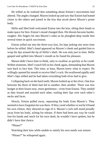He stilled as he realised that something about Einion's movements had altered. The angles changed. Maxen looked up and saw that Einion had leaned closer to the others and joined in the kiss that arced above Maxen's prone body.

Hefin and Ithel both welcomed Einion into the kiss, tilting their heads to make space for him. Einion's mood changed then. His thrusts became harder, rougher. His fingers bit into Maxen's sides as he ploughed deep inside him several times in quick succession.

Einion yelled out into the three-way kiss, his hips jerking one more time before he stilled. Ithel's hand appeared on Maxen's cheek and guided him to wrap his lips around the tip of Hefin's shaft. He was only just in time. Hefin gasped and spilled into Maxen's mouth as he found his pleasure.

Maxen didn't have time to think, only to swallow as quickly as he could. Within moments, Ithel's touch fell on his cheek again, demanding that Maxen turn back to face him. This time, at least, Maxen knew what to expect. He willingly opened his mouth to receive Ithel's cock. He swallowed rapidly until Ithel's hips stilled and he had taken everything both elves had to give.

Collapsing back on the hard earth, Maxen looked up at the elves. One kiss between the three of them had led to another, then another. There was less hunger in their kisses now, more gentleness—even from Einion. They smiled as they kissed and nuzzled each other, trailing their lips over each other's necks and faces.

Slowly, Einion pulled away, separating his body from Maxen's. They seemed to have forgotten he wasthere. If they cared whether or not he'd found his own climax, they showed no sign of it. Maxen's cock still stood proudly away from his body, aching for release. If there had been any way he could free his hands and reach for his own shaft, he wouldn't have spoken, but he didn't have that choice.

"Please?"

Watching their kiss while unable to satisfy his own needs was torture.

"Please?" he whispered again.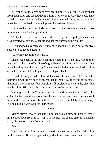At least one of the elves must have heard him. They all pulled slightly back from each other and looked down at him. There was no way they could have failed to understand what he wanted. Einion smiled, the same way he had when he first realised how much power he had over Maxen.

Hefin reached out toward Maxen's crotch. He was obviously about to take him in hand, but Ithel stopped him.

"Not yet." He spoke to Hefin, not Maxen. Any hint of apology in his voice was directed toward the other elf and not the human in their midst.

Hefin nodded his acceptance, but Maxen shook his head. None of the elves seemed to notice the gesture.

"We will leave him to rest now."

Maxen watched as the elves calmly picked up their clothes, rose to their feet, and strolled out of his line of sight. He tried to sit up and see where they went, but the chains held strong. Somewhere behind him he heard a door close and a heavy bolt slide into place. He collapsed back.

His whole body ached with need. He closed his eyes and bit down on his bottom lip, willing his body to accept that he wasn't going to find any pleasure that night. It was impossible. His skin still tingled everywhere the elves had touched him. His cock ached and refused to soften in the least.

He tugged at the cuffs around his wrists and the chains attached to his collar, but he knew there was no way he would ever break free. The only touch he would receive now was from the elves. He was completely at their mercy. All he could do was wait for their return.

\*\*\*\*

Maxen stirred, aware that something had woken him, but unsure what it might have been. He tried to sit up. The moment the chains pressed against his skin, his memory came flooding back.

#### *Elves!*

He'd lost count of the number of the times the three elves had visited him in the dungeon. He no longer had any idea how many times their hands had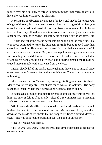moved over his skin, only to refuse to grant him that final caress that would have allowed him to achieve his pleasure.

He was sure he'd been in the dungeon for days, and maybe far longer. Out of sight of the sun, there was no way to calculate the passage of time. True, the elves had on occasion allowed him enough freedom to extend his limbs, to take the food they offered him, and to move around the dungeon to attend to other needs. But Maxen had no idea if they did so once a day, more often, less.

He just knew that the chains never left his body all at the same time. He was never permitted to leave the dungeon. In truth, being trapped there had ceased to scare him. He was warm and well fed, the chains were not painful, and the elves were not unkind. Only one fact kept him on edge, desperate for a freedom they seemed determined to deny him. He had not once succeeded in wrapping his hand around his own shaft and bringing himself the release he craved more strongly with each visit from the elves.

Maxen slowly lifted his head. Just as each time they came to him, all three elves were there. Maxen looked at them each in turn. They stared back at him, unblinking.

Ithel reached out to Maxen first, stroking his fingers down his cheek. Maxen swallowed rapidly. That chaste touch was all it took now. His body responded instantly. His shaft ached as he began to harden again.

It had taken a lifetime for him to recover his composure after the elves left him last time. It felt as if he'd only softened a few minutes ago. Stiffening again so soon was more a torment than pleasure.

Within seconds, six elfish hands moved across his skin and stroked through his hair, teasing him to the point of distraction. Maxen closed his eyes and bit down on the inside of his cheek. Hefin wrapped his fingers around Maxen's cock—that was all it took to push him past the point of all control.

"Please," Maxen whispered.

"Tell us what you want," Ithel ordered. The same order that had been given so many times.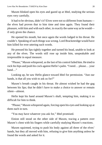Maxen blinked open his eyes and gazed up at Ithel, studying the serious eyes very carefully.

It had to be obvious, didn't it? Elves were not so different from humans the elves had proven that to him time and time again. They found their pleasure, with him and with each other, in exactly the sameway as hewould if only given the chance.

He opened his mouth, but once again the words lodged in his throat. He couldn't. Speaking of such things was wrong. Lord Brackenridge would have him killed for ever uttering such words.

He pressed his lips tightly together and turned his head, unable to look at any of the elves. The words still rose up inside him, unspeakable and irrepressible in equal measure.

"Please," Maxen whispered, as the last of his control failed him. He tried to rock his hips and push his cock against Hefin's palm. "I need… please… your hand…"

Looking up, he saw Hefin glance toward Ithel for permission. "Just our hands, is that all you wish to ask us for?"

Maxen's breath caught in his throat. He almost wished he had the gag between his lips; that he didn't have to make a choice to answer or remain silent—almost.

Hefin kept his hand around Maxen's shaft, tempting him, making it so difficult for him to think.

"Please," Maxen whispered again, forcing open his eyes and looking up at them each in turn.

"You may have whatever you ask for," Ithel promised.

Einion still stood on the other side of Maxen, tracing a pattern over Maxen's chest with his fingers while carefully studying Maxen's reactions.

Maxen squirmed, trying to push his body against all three of the elves' hands, but they all moved with him, refusing to give him anything unless he found the words and asked for it.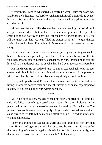"Everything," Maxen whispered, so softly he wasn't sure the word was audible to the other men. He barely even heard it himself, past the loud beat of his heart. But that didn't change the truth; he wanted everything the elves could offer him.

Einion leant forward. His kiss was hard and demanding, full of triumph and possession. Maxen felt another elf's mouth wrap around the tip of his cock, but he had no way of knowing if those lips belonged to Ithel or Hefin. All he knew was that wet heat filled his senses as an elf's tongue danced against his cock's head. Every thought Maxen might have possessed drained away.

He screamed into Einion's kiss as he came, jerking and pulling against his bonds. Lifetimes had passed by since the last time he had been permitted to find that sort of pleasure. Ecstasy slashed through him, threatening to tear out his soul as it cut deeper into his psyche than he'd ever guessed was possible.

His mind spun. He gasped for breath as Einion stepped back. With his eyes closed and his whole body trembling with the aftershocks of his pleasure, Maxen was barely aware of the elves moving slowly away from him.

His eyes dropped closed. For once, there was no need to lie in the darkness trying to force his body to relax and accept frustration as an inescapable part of his new life. Sleep claimed him within seconds.

\*\*\*\*

Still nine parts asleep, Maxen twisted his body and tried to roll onto his side. He failed. Something pressed down against his chest, holding him in place, making any large degree of movement impossible. He tried again. The pressure against his torso eased slightly. He yawned and rolled his shoulders as he turned to his left, but he made no effort to sit up. He had no interest in waking completely.

The world around him wasfar too warm and comfortable for him towish it away. He nuzzled against the fur blanket spread beneath him. It was softer than anything he'd ever felt against his skin before. He frowned slightly, sure that no such blanket had been there when he'd fallen asleep.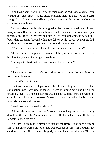It had to be some sort of dream. In which case, he had even less interest in waking up. This place was far more pleasant than his patch of bare earth alongside the fire in the round house, where there was always too much smoke and never enough heat.

Taking a deep breath, Maxen tugged at the blanket draped over him—it was just as soft as the one beneath him—and reached all the way down past the tips of his toes. There were no holes in it to let in draughts, no parts of his body that extended beyond what the fabric could cover. Maxen smiled, relishing each moment of perfect comfort and contentment.

"How much do you think he will come to remember over time?"

Maxen pulled the topmost blanket up higher, trying to cover his ears and block out any sound that might wake him.

"Perhaps it is best that he doesn't remember anything?"

#### *Hefin.*

The name pushed past Maxen's slumber and forced its way into the forefront of his mind.

#### *Hefin, Ithel and Einion.*

No, those names were all part of another dream—they had to be. No other explanation made any kind of sense. He was dreaming now, and he'd been dreaming then—strange, dangerous dreams that could never be spoken of, or even thought about once he woke. One more reason not to let slumber desert him before absolutely necessary.

"We know you are awake, Maxen."

All the relaxation and pleasure Maxen clung to disappeared like morning dew from the most fragile of spider's webs. He knew that voice. He forced himself to open his eyes.

A dream—he reminded himself of that several times. It had been a dream, and if the elves were still here, that was because it was still a dream. He cautiously sat up. The room was brightly lit by tall, narrow windows. The sun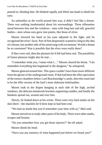poured in, blinding him. He blinked rapidly and lifted one hand to shield his eyes.

As unfamiliar as the world around him was, it didn't feel like a dream. There was nothing insubstantial about his surroundings. Three silhouettes stood between him and the windows—men with long hair and tall, graceful bodies—men whose ears grew into points, like those of elves.

Maxen lowered his hand as his eyes adjusted to the light, and he recognised the elves' faces. Part of him desperately wanted to cling to the idea of a dream, but another side of his mind sung with excitement. Would a dream be so consistent? Was it possible that the elves were really there?

If they were real, then the pleasure he'd felt had been real. The possibility of future pleasure might also be real…

"I remember what you, I mean what I…" Maxen cleared his throat. "I do remember everything that happened in the dungeon," he whispered.

Maxen glanced around him. This space couldn't have been more different from the gloom of the underground room. If that had been the elfin equivalent of the torture chambers below Lord Brackenridge's castle, then this room had to be the elfin version of the lord's most elaborate bedchamber.

Maxen took in the drapes hanging at each side of the high, arched windows, the delicate metalwork brackets supporting candles, and finally the blankets spread out, around and over him.

Slowly, he looked down at his wrists. There were very faint marks on the skin there—the shackles he'd been kept in had been real.

"We had no doubt that you'd remember your time with *us*," Ithel said.

Maxen moved on to study other parts of his body. There were other marks, scrapes and bruises.

"Do you remember how you got those injuries?" the elf asked.

Maxen shook his head.

"Have you any memory of what happened just before we found you?"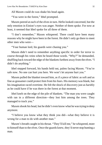All Maxen could do was shake his head again.

"You were in the forest," Ithel prompted.

Maxen peered at each of the elves in turn. Hefin looked concerned, but the only emotion in Einion's eyes was anger. Neither of them spoke. For now at least, it seemed that Ithel spoke for all three of them.

"I don't remember," Maxen whispered. There could have been many reasons why he might have been in the forest. He didn't only go there to meet other men who were—

"Your human lord, his guards were chasing you."

Maxen didn't need to remember anything specific in order for terror to course through his veins when he heard those words. "Why?" he demanded, shuffling back toward the edge of the blankets furthest away from the elves. "I didn't do anything."

Ithel stepped forward, his hands held out, palms facing Maxen. "You're safe now. No one can hurt you here. We won't let anyone hurt you."

Maxen pulled the blanket toward him, as if a piece of fabric as soft and as fine as gossamer could protect him from his fears. His memory was blank, but his imagination raced overtime. He felt the shock of discovery just as harshly as he could have if he was there in the forest at that moment.

Ithel knelt on the edge of the pile of blankets. "The man you were caught with ran in a different direction—they lost him among the trees. They managed to track you."

Maxen shook his head, but he didn't even know what he was trying to deny anymore.

"I believe you know what they think you did—what they believe it is wrong for a man to do with another man."

Maxen's breath caught in his throat. "They'll kill me," he whispered, more to himself than to the elves. Once the guards knew, they'd neverstop hunting a man.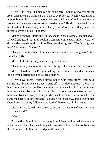"Here?" Ithel said. "Humans do not come here—not unless we bring them. Even then, there are traditions that have to be followed, which would make it impossible for them to hurt anyone. Did you think we refused to release you from your chains because we were scared of you?" He shook his head. "You had to admit, to us and to yourself, that you *want* to be here, that you are no threat to anyone in our kingdom."

Maxen glanced at Hefin and Einion, and then back to Ithel. Traditions were all well and good, but they couldn't compete with several miles' worth of distance between himself and Lord Brackenridge's guards. "Don't bring them here?" he begged. "Please?"

"They are not the kind of humans that we would ever bring here." Ithel smiled slightly.

Maxen failed to see any reason for good humour.

"There is only one reason why an elf brings a human into his kingdom."

Maxen stared into Ithel's eyes, willing himself to understand, even when Ithel seemed determined not to speak plainly.

"Elves have always formed strong bonds with each other," Ithel said, staring intently into Maxen's eyes. "And elfish law does not care if those who bond are male or female. However, there are times when it does not matter how much the elves care for each other, or love each other—the bonds between elves are always stronger when each of them is also bound to the same member of another species—a human for instance… and if that human should prove to enjoy following the lead of those elves all the better."

Maxen's eyes darted from one elf to another. "The three of you are… you all have a bond?"

"Yes."

For the first time, Ithel looked away from Maxen and turned his attention to Hefin and Ethel. They each stepped forward and lowered themselves onto their knees next to Ithel at the edge of the blankets.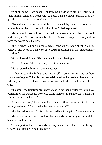"Not all humans are capable of forming bonds with elves," Hefin said. "The humans fill men's heads with so much pain, so much fear, and after the guards chased you, we weren't sure…"

"Sometimes a human's soul is so damaged by men's actions, it is impossible for them to form a bond with us," Ithel explained.

Maxen was in no condition to deal with any new source of fear. He shook his head again. "If I don't remember then…" Maxen whispered, barely able to force the words past his lips.

Ithel reached out and placed a gentle hand on Maxen's cheek. "You're perfect. A far better fit than we ever hoped to find among all the villages in the kingdom."

Maxen looked down. "The guards who were chasing me—"

"Are no longer able to hurt anyone," Einion cut in.

Maxen stared at him for several seconds.

"A human sword is little use against an elfish bow," Einion said, without any trace of regret. "Their bodies were delivered to the castle with our arrows still in place—the lord will know who dealt with them, and he will know why."

"This isn't the first time elves have stepped in when a villager would have been hurt by the guards for no worse crime than visiting the forest," Ithel said. "I doubt it will be the last."

At any other time, Maxen would have had a million questions. Right then, he only had one. "What… what happens to me now?"

Ithel leaned forward. "This." He brushed his lips against Maxen's mouth.

Maxen's eyes dropped closed as pleasure and comfort tingled through his body in equal measure.

"It isimportant that the bonds between you and each of usremain strong if we are to all remain joined together."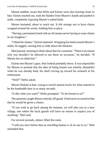Maxen nodded, aware that Hefin and Einion were also moving closer to him. Einion reached out, took the blanket from Maxen's hands and pushed it aside, completely exposing Maxen's naked body.

Maxen hesitated, about to reach out. It felt strange not to have chains wrapped around his wrists, holding him in place.

"Having a permanent bond with an elf means never having to wear chains in our kingdom."

"I liked the chains," Einion muttered. Wrapping his hand around Maxen's ankle, he tugged, causing him to slide down the blankets.

Ithel paused, seeming to think about that for a moment. "There is no reason why you shouldn't be allowed to use them on occasion," he decided. "If Maxen has no objection."

Einion met Maxen's gaze, then looked pointedly down. It was impossible for Maxen to pretend that the idea of being bound was entirely distasteful when he was already hard, his shaft curving up toward his stomach in his enthusiasm.

"Well?" Hefin asked.

Maxen blinked at him, trying to switch mental tracks for what seemed to be the hundredth time in as many seconds.

"Is this what you want?" Hefin prompted. "To be bound to us?"

The question caught Maxen entirely off guard. It had never occurred to him that he would be given a choice.

"If you wish to go back among the humans, we will take you to a new village, one where the local guards will have no reason to suspect you of anything," Ithel said.

For several seconds, silence filled the room.

"I told you once before that an unwilling human is of no use to us," Ithel reminded him.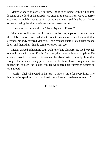Maxen glanced at each elf in turn. The idea of being within a hundred leagues of the lord or his guards was enough to send a fresh wave of terror coursing through his veins, but in that moment he realised that the possibility of never seeing the elves again was more distressing still.

"I want to stay here with you," he whispered. "Please?"

Ithel was the first to kiss him gently on the lips, apparently in welcome, then Hefin. Einion's kiss had little to do with any such chaste intention. Within seconds, his body covered Maxen's. Hefin reached out to Maxen just a second later, and then Ithel's hands came to rest on him too.

Maxen gasped as his mind spun with relief and pleasure. He tried to reach out to the elves in return. For the first time, there was nothing to stop him. No chains clinked. His fingers slid against the elves' skin. The only thing that stopped the moment being perfect was that he didn't have enough hands to touch with, enough lips to kiss with. He whimpered his frustration against an elf's mouth.

"Hush," Ithel whispered in his ear. "There is time for everything. The bonds we're speaking of do not break, once formed. We have forever…"

#### **THE END**